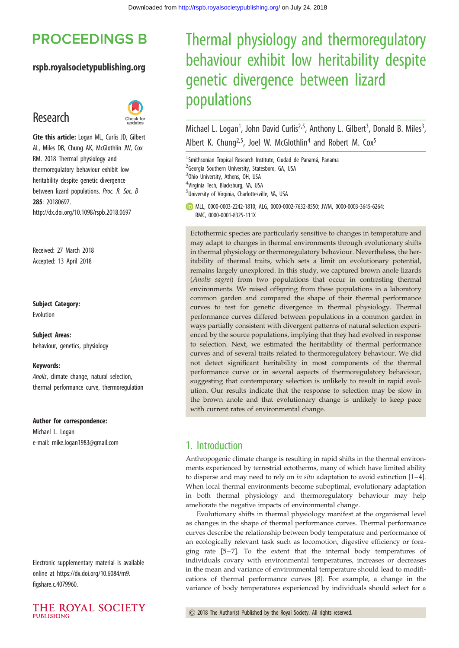# **PROCEEDINGS B**

## rspb.royalsocietypublishing.org

## Research



Cite this article: Logan ML, Curlis JD, Gilbert AL, Miles DB, Chung AK, McGlothlin JW, Cox RM. 2018 Thermal physiology and thermoregulatory behaviour exhibit low heritability despite genetic divergence between lizard populations. Proc. R. Soc. B 285: 20180697. http://dx.doi.org/10.1098/rspb.2018.0697

Received: 27 March 2018 Accepted: 13 April 2018

#### Subject Category:

Evolution

Subject Areas: behaviour, genetics, physiology

#### Keywords:

Anolis, climate change, natural selection, thermal performance curve, thermoregulation

#### Author for correspondence:

Michael L. Logan e-mail: [mike.logan1983@gmail.com](mailto:mike.logan1983@gmail.com)

Electronic supplementary material is available online at [https://dx.doi.org/10.6084/m9.](https://dx.doi.org/10.6084/m9.figshare.c.4079960) [figshare.c.4079960](https://dx.doi.org/10.6084/m9.figshare.c.4079960).



# Thermal physiology and thermoregulatory behaviour exhibit low heritability despite genetic divergence between lizard populations

Michael L. Logan<sup>1</sup>, John David Curlis<sup>2,5</sup>, Anthony L. Gilbert<sup>3</sup>, Donald B. Miles<sup>3</sup> , Albert K. Chung<sup>2,5</sup>, Joel W. McGlothlin<sup>4</sup> and Robert M. Cox<sup>5</sup>

<sup>1</sup> Smithsonian Tropical Research Institute, Ciudad de Panamá, Panama <sup>2</sup> Georgia Southern University, Statesboro, GA, USA 3 Ohio University, Athens, OH, USA 4 Virginia Tech, Blacksburg, VA, USA 5 University of Virginia, Charlottesville, VA, USA

MLL, [0000-0003-2242-1810](http://orcid.org/0000-0003-2242-1810); ALG, [0000-0002-7632-8550](http://orcid.org/0000-0002-7632-8550); JWM, [0000-0003-3645-6264;](http://orcid.org/0000-0003-3645-6264) RMC, [0000-0001-8325-111X](http://orcid.org/0000-0001-8325-111X)

Ectothermic species are particularly sensitive to changes in temperature and may adapt to changes in thermal environments through evolutionary shifts in thermal physiology or thermoregulatory behaviour. Nevertheless, the heritability of thermal traits, which sets a limit on evolutionary potential, remains largely unexplored. In this study, we captured brown anole lizards (Anolis sagrei) from two populations that occur in contrasting thermal environments. We raised offspring from these populations in a laboratory common garden and compared the shape of their thermal performance curves to test for genetic divergence in thermal physiology. Thermal performance curves differed between populations in a common garden in ways partially consistent with divergent patterns of natural selection experienced by the source populations, implying that they had evolved in response to selection. Next, we estimated the heritability of thermal performance curves and of several traits related to thermoregulatory behaviour. We did not detect significant heritability in most components of the thermal performance curve or in several aspects of thermoregulatory behaviour, suggesting that contemporary selection is unlikely to result in rapid evolution. Our results indicate that the response to selection may be slow in the brown anole and that evolutionary change is unlikely to keep pace with current rates of environmental change.

## 1. Introduction

Anthropogenic climate change is resulting in rapid shifts in the thermal environments experienced by terrestrial ectotherms, many of which have limited ability to disperse and may need to rely on in situ adaptation to avoid extinction [[1](#page-6-0)–[4\]](#page-6-0). When local thermal environments become suboptimal, evolutionary adaptation in both thermal physiology and thermoregulatory behaviour may help ameliorate the negative impacts of environmental change.

Evolutionary shifts in thermal physiology manifest at the organismal level as changes in the shape of thermal performance curves. Thermal performance curves describe the relationship between body temperature and performance of an ecologically relevant task such as locomotion, digestive efficiency or fora-ging rate [\[5](#page-6-0)-7]. To the extent that the internal body temperatures of individuals covary with environmental temperatures, increases or decreases in the mean and variance of environmental temperature should lead to modifications of thermal performance curves [\[8\]](#page-6-0). For example, a change in the variance of body temperatures experienced by individuals should select for a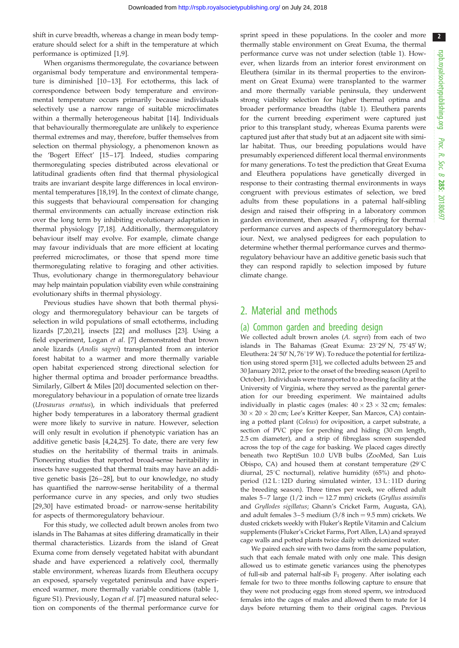shift in curve breadth, whereas a change in mean body temperature should select for a shift in the temperature at which performance is optimized [[1](#page-6-0),[9](#page-6-0)].

When organisms thermoregulate, the covariance between organismal body temperature and environmental temperature is diminished [\[10](#page-6-0)–[13\]](#page-6-0). For ectotherms, this lack of correspondence between body temperature and environmental temperature occurs primarily because individuals selectively use a narrow range of suitable microclimates within a thermally heterogeneous habitat [[14\]](#page-6-0). Individuals that behaviourally thermoregulate are unlikely to experience thermal extremes and may, therefore, buffer themselves from selection on thermal physiology, a phenomenon known as the 'Bogert Effect' [\[15](#page-6-0)–[17\]](#page-7-0). Indeed, studies comparing thermoregulating species distributed across elevational or latitudinal gradients often find that thermal physiological traits are invariant despite large differences in local environmental temperatures [[18,19](#page-7-0)]. In the context of climate change, this suggests that behavioural compensation for changing thermal environments can actually increase extinction risk over the long term by inhibiting evolutionary adaptation in thermal physiology [\[7,](#page-6-0)[18](#page-7-0)]. Additionally, thermoregulatory behaviour itself may evolve. For example, climate change may favour individuals that are more efficient at locating preferred microclimates, or those that spend more time thermoregulating relative to foraging and other activities. Thus, evolutionary change in thermoregulatory behaviour may help maintain population viability even while constraining evolutionary shifts in thermal physiology.

Previous studies have shown that both thermal physiology and thermoregulatory behaviour can be targets of selection in wild populations of small ectotherms, including lizards [[7](#page-6-0)[,20](#page-7-0),[21\]](#page-7-0), insects [[22\]](#page-7-0) and molluscs [[23\]](#page-7-0). Using a field experiment, Logan et al. [\[7\]](#page-6-0) demonstrated that brown anole lizards (Anolis sagrei) transplanted from an interior forest habitat to a warmer and more thermally variable open habitat experienced strong directional selection for higher thermal optima and broader performance breadths. Similarly, Gilbert & Miles [\[20](#page-7-0)] documented selection on thermoregulatory behaviour in a population of ornate tree lizards (Urosaurus ornatus), in which individuals that preferred higher body temperatures in a laboratory thermal gradient were more likely to survive in nature. However, selection will only result in evolution if phenotypic variation has an additive genetic basis [\[4,](#page-6-0)[24,25](#page-7-0)]. To date, there are very few studies on the heritability of thermal traits in animals. Pioneering studies that reported broad-sense heritability in insects have suggested that thermal traits may have an additive genetic basis [[26](#page-7-0)–[28\]](#page-7-0), but to our knowledge, no study has quantified the narrow-sense heritability of a thermal performance curve in any species, and only two studies [\[29](#page-7-0),[30\]](#page-7-0) have estimated broad- or narrow-sense heritability for aspects of thermoregulatory behaviour.

For this study, we collected adult brown anoles from two islands in The Bahamas at sites differing dramatically in their thermal characteristics. Lizards from the island of Great Exuma come from densely vegetated habitat with abundant shade and have experienced a relatively cool, thermally stable environment, whereas lizards from Eleuthera occupy an exposed, sparsely vegetated peninsula and have experienced warmer, more thermally variable conditions [\(table 1](#page-2-0), figure S1). Previously, Logan et al. [[7](#page-6-0)] measured natural selection on components of the thermal performance curve for sprint speed in these populations. In the cooler and more thermally stable environment on Great Exuma, the thermal performance curve was not under selection [\(table 1](#page-2-0)). However, when lizards from an interior forest environment on Eleuthera (similar in its thermal properties to the environment on Great Exuma) were transplanted to the warmer and more thermally variable peninsula, they underwent strong viability selection for higher thermal optima and broader performance breadths [\(table 1\)](#page-2-0). Eleuthera parents for the current breeding experiment were captured just prior to this transplant study, whereas Exuma parents were captured just after that study but at an adjacent site with similar habitat. Thus, our breeding populations would have presumably experienced different local thermal environments for many generations. To test the prediction that Great Exuma and Eleuthera populations have genetically diverged in response to their contrasting thermal environments in ways congruent with previous estimates of selection, we bred adults from these populations in a paternal half-sibling design and raised their offspring in a laboratory common garden environment, then assayed  $F_1$  offspring for thermal performance curves and aspects of thermoregulatory behaviour. Next, we analysed pedigrees for each population to determine whether thermal performance curves and thermoregulatory behaviour have an additive genetic basis such that they can respond rapidly to selection imposed by future climate change.

## 2. Material and methods

## (a) Common garden and breeding design

We collected adult brown anoles (A. sagrei) from each of two islands in The Bahamas (Great Exuma:  $23^{\circ}29'$  N,  $75^{\circ}45'$  W; Eleuthera:  $24^{\circ}50'$  N,  $76^{\circ}19'$  W). To reduce the potential for fertilization using stored sperm [\[31\]](#page-7-0), we collected adults between 25 and 30 January 2012, prior to the onset of the breeding season (April to October). Individuals were transported to a breeding facility at the University of Virginia, where they served as the parental generation for our breeding experiment. We maintained adults individually in plastic cages (males:  $40 \times 23 \times 32$  cm; females:  $30 \times 20 \times 20$  cm; Lee's Kritter Keeper, San Marcos, CA) containing a potted plant (Coleus) for oviposition, a carpet substrate, a section of PVC pipe for perching and hiding (30 cm length, 2.5 cm diameter), and a strip of fibreglass screen suspended across the top of the cage for basking. We placed cages directly beneath two ReptiSun 10.0 UVB bulbs (ZooMed, San Luis Obispo, CA) and housed them at constant temperature  $(29^{\circ}C)$ diurnal,  $25^{\circ}$ C nocturnal), relative humidity (65%) and photoperiod (12 L : 12D during simulated winter, 13 L : 11D during the breeding season). Three times per week, we offered adult males 5-7 large  $(1/2$  inch = 12.7 mm) crickets (Gryllus assimilis and Gryllodes sigillatus; Ghann's Cricket Farm, Augusta, GA), and adult females  $3-5$  medium  $(3/8$  inch =  $9.5$  mm) crickets. We dusted crickets weekly with Fluker's Reptile Vitamin and Calcium supplements (Fluker's Cricket Farms, Port Allen, LA) and sprayed cage walls and potted plants twice daily with deionized water.

We paired each sire with two dams from the same population, such that each female mated with only one male. This design allowed us to estimate genetic variances using the phenotypes of full-sib and paternal half-sib  $F_1$  progeny. After isolating each female for two to three months following capture to ensure that they were not producing eggs from stored sperm, we introduced females into the cages of males and allowed them to mate for 14 days before returning them to their original cages. Previous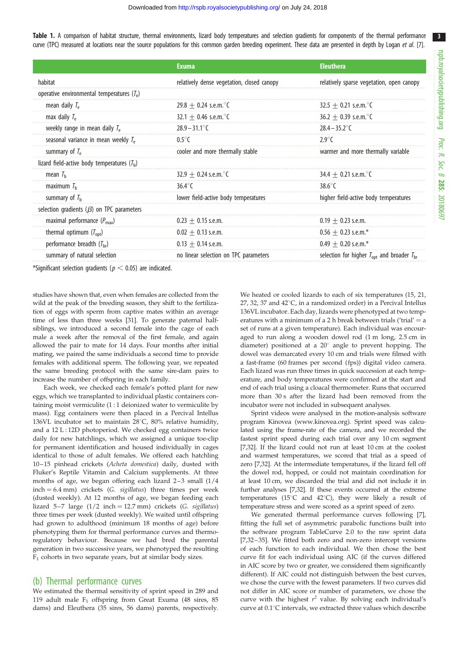<span id="page-2-0"></span>Table 1. A comparison of habitat structure, thermal environments, lizard body temperatures and selection gradients for components of the thermal performance curve (TPC) measured at locations near the source populations for this common garden breeding experiment. These data are presented in depth by Logan et al. [\[7\]](#page-6-0).

|                                                   | <b>Exuma</b>                               | <b>Eleuthera</b>                                                  |
|---------------------------------------------------|--------------------------------------------|-------------------------------------------------------------------|
| habitat                                           | relatively dense vegetation, closed canopy | relatively sparse vegetation, open canopy                         |
| operative environmental temperatures $(I_e)$      |                                            |                                                                   |
| mean daily $T_e$                                  | 29.8 $\pm$ 0.24 s.e.m. <sup>o</sup> C      | 32.5 $\pm$ 0.21 s.e.m. <sup>o</sup> C                             |
| max daily $T_e$                                   | 32.1 $\pm$ 0.46 s.e.m. <sup>o</sup> C      | 36.2 $\pm$ 0.39 s.e.m. <sup>o</sup> C                             |
| weekly range in mean daily $T_e$                  | $28.9 - 31.1^{\circ}$ C                    | $28.4 - 35.2^{\circ}$ C                                           |
| seasonal variance in mean weekly $T_e$            | $0.5^{\circ}$ C                            | $2.9^{\circ}$ C                                                   |
| summary of $T_e$                                  | cooler and more thermally stable           | warmer and more thermally variable                                |
| lizard field-active body temperatures $(T_b)$     |                                            |                                                                   |
| mean $Th$                                         | 32.9 $\pm$ 0.24 s.e.m. <sup>o</sup> C      | 34.4 $\pm$ 0.21 s.e.m. <sup>o</sup> C                             |
| maximum $Th$                                      | 36.4 $\degree$ C                           | 38.6 $\degree$ C                                                  |
| summary of $T_{\rm b}$                            | lower field-active body temperatures       | higher field-active body temperatures                             |
| selection gradients ( $\beta$ ) on TPC parameters |                                            |                                                                   |
| maximal performance $(P_{\text{max}})$            | 0.23 $\pm$ 0.15 s.e.m.                     | $0.19 \pm 0.23$ s.e.m.                                            |
| thermal optimum $(T_{opt})$                       | $0.02 \pm 0.13$ s.e.m.                     | $0.56 \pm 0.23$ s.e.m.*                                           |
| performance breadth $(T_{\rm br})$                | $0.13 + 0.14$ s.e.m.                       | $0.49 \pm 0.20$ s.e.m.*                                           |
| summary of natural selection                      | no linear selection on TPC parameters      | selection for higher $T_{\text{opt}}$ and broader $T_{\text{br}}$ |

\*Significant selection gradients ( $p < 0.05$ ) are indicated.

studies have shown that, even when females are collected from the wild at the peak of the breeding season, they shift to the fertilization of eggs with sperm from captive mates within an average time of less than three weeks [[31\]](#page-7-0). To generate paternal halfsiblings, we introduced a second female into the cage of each male a week after the removal of the first female, and again allowed the pair to mate for 14 days. Four months after initial mating, we paired the same individuals a second time to provide females with additional sperm. The following year, we repeated the same breeding protocol with the same sire-dam pairs to increase the number of offspring in each family.

Each week, we checked each female's potted plant for new eggs, which we transplanted to individual plastic containers containing moist vermiculite (1 : 1 deionized water to vermiculite by mass). Egg containers were then placed in a Percival Intellus 136VL incubator set to maintain  $28^{\circ}$ C,  $80\%$  relative humidity, and a 12 L : 12D photoperiod. We checked egg containers twice daily for new hatchlings, which we assigned a unique toe-clip for permanent identification and housed individually in cages identical to those of adult females. We offered each hatchling 10-15 pinhead crickets (Acheta domestica) daily, dusted with Fluker's Reptile Vitamin and Calcium supplements. At three months of age, we began offering each lizard  $2-3$  small  $(1/4)$  $inch = 6.4$  mm) crickets (G. sigillatus) three times per week (dusted weekly). At 12 months of age, we began feeding each lizard 5-7 large  $(1/2$  inch = 12.7 mm) crickets (G. sigillatus) three times per week (dusted weekly). We waited until offspring had grown to adulthood (minimum 18 months of age) before phenotyping them for thermal performance curves and thermoregulatory behaviour. Because we had bred the parental generation in two successive years, we phenotyped the resulting  $F_1$  cohorts in two separate years, but at similar body sizes.

#### (b) Thermal performance curves

We estimated the thermal sensitivity of sprint speed in 289 and 119 adult male  $F_1$  offspring from Great Exuma (48 sires, 85 dams) and Eleuthera (35 sires, 56 dams) parents, respectively. We heated or cooled lizards to each of six temperatures (15, 21, 27, 32, 37 and  $42^{\circ}$ C, in a randomized order) in a Percival Intellus 136VL incubator. Each day, lizards were phenotyped at two temperatures with a minimum of a 2 h break between trials ('trial' =  $a$ set of runs at a given temperature). Each individual was encouraged to run along a wooden dowel rod (1 m long, 2.5 cm in diameter) positioned at a 20° angle to prevent hopping. The dowel was demarcated every 10 cm and trials were filmed with a fast-frame (60 frames per second (fps)) digital video camera. Each lizard was run three times in quick succession at each temperature, and body temperatures were confirmed at the start and end of each trial using a cloacal thermometer. Runs that occurred more than 30 s after the lizard had been removed from the incubator were not included in subsequent analyses.

Sprint videos were analysed in the motion-analysis software program Kinovea [\(www.kinovea.org\)](http://www.kinovea.org). Sprint speed was calculated using the frame-rate of the camera, and we recorded the fastest sprint speed during each trial over any 10 cm segment [\[7,](#page-6-0)[32\]](#page-7-0). If the lizard could not run at least 10 cm at the coolest and warmest temperatures, we scored that trial as a speed of zero [\[7](#page-6-0)[,32](#page-7-0)]. At the intermediate temperatures, if the lizard fell off the dowel rod, hopped, or could not maintain coordination for at least 10 cm, we discarded the trial and did not include it in further analyses [[7,](#page-6-0)[32](#page-7-0)]. If these events occurred at the extreme temperatures (15 $^{\circ}$ C and 42 $^{\circ}$ C), they were likely a result of temperature stress and were scored as a sprint speed of zero.

We generated thermal performance curves following [[7\]](#page-6-0), fitting the full set of asymmetric parabolic functions built into the software program TableCurve 2.0 to the raw sprint data [[7,](#page-6-0)[32](#page-7-0) – [35\]](#page-7-0). We fitted both zero and non-zero intercept versions of each function to each individual. We then chose the best curve fit for each individual using AIC (if the curves differed in AIC score by two or greater, we considered them significantly different). If AIC could not distinguish between the best curves, we chose the curve with the fewest parameters. If two curves did not differ in AIC score or number of parameters, we chose the curve with the highest  $r^2$  value. By solving each individual's curve at  $0.1^{\circ}$ C intervals, we extracted three values which describe

3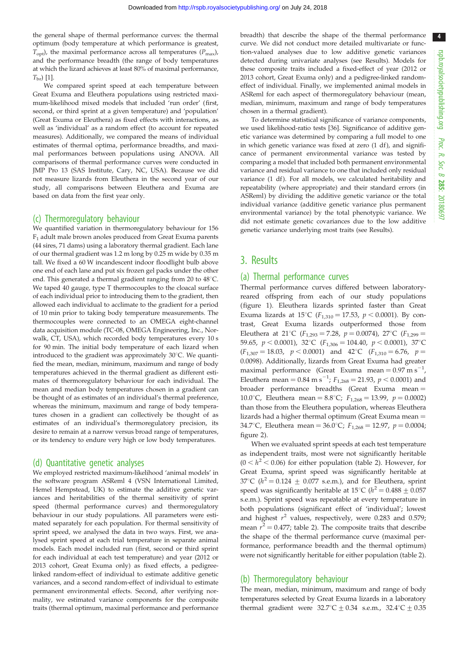the general shape of thermal performance curves: the thermal optimum (body temperature at which performance is greatest,  $T_{\text{opt}}$ ), the maximal performance across all temperatures ( $P_{\text{max}}$ ), and the performance breadth (the range of body temperatures at which the lizard achieves at least 80% of maximal performance,  $T_{\rm br}$ ) [[1\]](#page-6-0).

We compared sprint speed at each temperature between Great Exuma and Eleuthera populations using restricted maximum-likelihood mixed models that included 'run order' (first, second, or third sprint at a given temperature) and 'population' (Great Exuma or Eleuthera) as fixed effects with interactions, as well as 'individual' as a random effect (to account for repeated measures). Additionally, we compared the means of individual estimates of thermal optima, performance breadths, and maximal performances between populations using ANOVA. All comparisons of thermal performance curves were conducted in JMP Pro 13 (SAS Institute, Cary, NC, USA). Because we did not measure lizards from Eleuthera in the second year of our study, all comparisons between Eleuthera and Exuma are based on data from the first year only.

#### (c) Thermoregulatory behaviour

We quantified variation in thermoregulatory behaviour for 156 F1 adult male brown anoles produced from Great Exuma parents (44 sires, 71 dams) using a laboratory thermal gradient. Each lane of our thermal gradient was 1.2 m long by 0.25 m wide by 0.35 m tall. We fixed a 60 W incandescent indoor floodlight bulb above one end of each lane and put six frozen gel packs under the other end. This generated a thermal gradient ranging from 20 to  $48^{\circ}$ C. We taped 40 gauge, type T thermocouples to the cloacal surface of each individual prior to introducing them to the gradient, then allowed each individual to acclimate to the gradient for a period of 10 min prior to taking body temperature measurements. The thermocouples were connected to an OMEGA eight-channel data acquisition module (TC-08, OMEGA Engineering, Inc., Norwalk, CT, USA), which recorded body temperatures every 10 s for 90 min. The initial body temperature of each lizard when introduced to the gradient was approximately  $30^{\circ}$ C. We quantified the mean, median, minimum, maximum and range of body temperatures achieved in the thermal gradient as different estimates of thermoregulatory behaviour for each individual. The mean and median body temperatures chosen in a gradient can be thought of as estimates of an individual's thermal preference, whereas the minimum, maximum and range of body temperatures chosen in a gradient can collectively be thought of as estimates of an individual's thermoregulatory precision, its desire to remain at a narrow versus broad range of temperatures, or its tendency to endure very high or low body temperatures.

#### (d) Quantitative genetic analyses

We employed restricted maximum-likelihood 'animal models' in the software program ASReml 4 (VSN International Limited, Hemel Hempstead, UK) to estimate the additive genetic variances and heritabilities of the thermal sensitivity of sprint speed (thermal performance curves) and thermoregulatory behaviour in our study populations. All parameters were estimated separately for each population. For thermal sensitivity of sprint speed, we analysed the data in two ways. First, we analysed sprint speed at each trial temperature in separate animal models. Each model included run (first, second or third sprint for each individual at each test temperature) and year (2012 or 2013 cohort, Great Exuma only) as fixed effects, a pedigreelinked random-effect of individual to estimate additive genetic variances, and a second random-effect of individual to estimate permanent environmental effects. Second, after verifying normality, we estimated variance components for the composite traits (thermal optimum, maximal performance and performance

breadth) that describe the shape of the thermal performance curve. We did not conduct more detailed multivariate or function-valued analyses due to low additive genetic variances detected during univariate analyses (see Results). Models for these composite traits included a fixed-effect of year (2012 or 2013 cohort, Great Exuma only) and a pedigree-linked randomeffect of individual. Finally, we implemented animal models in ASReml for each aspect of thermoregulatory behaviour (mean, median, minimum, maximum and range of body temperatures chosen in a thermal gradient).

To determine statistical significance of variance components, we used likelihood-ratio tests [[36](#page-7-0)]. Significance of additive genetic variance was determined by comparing a full model to one in which genetic variance was fixed at zero (1 df), and significance of permanent environmental variance was tested by comparing a model that included both permanent environmental variance and residual variance to one that included only residual variance (1 df). For all models, we calculated heritability and repeatability (where appropriate) and their standard errors (in ASReml) by dividing the additive genetic variance or the total individual variance (additive genetic variance plus permanent environmental variance) by the total phenotypic variance. We did not estimate genetic covariances due to the low additive genetic variance underlying most traits (see Results).

## 3. Results

### (a) Thermal performance curves

Thermal performance curves differed between laboratoryreared offspring from each of our study populations ([figure 1\)](#page-4-0). Eleuthera lizards sprinted faster than Great Exuma lizards at 15°C ( $F_{1,310} = 17.53$ ,  $p < 0.0001$ ). By contrast, Great Exuma lizards outperformed those from Eleuthera at 21°C ( $F_{1,293} = 7.28$ ,  $p = 0.0074$ ), 27°C ( $F_{1,299} =$ 59.65,  $p < 0.0001$ ),  $32^{\circ}$ C ( $F_{1,306} = 104.40$ ,  $p < 0.0001$ ),  $37^{\circ}$ C  $(F_{1,307} = 18.03, p < 0.0001)$  and  $42^{\circ}$ C  $(F_{1,310} = 6.76, p =$ 0.0098). Additionally, lizards from Great Exuma had greater maximal performance (Great Exuma mean =  $0.97 \text{ m s}^{-1}$ ) Eleuthera mean =  $0.84$  m s<sup>-1</sup>;  $F_{1,268} = 21.93$ ,  $p < 0.0001$ ) and broader performance breadths (Great Exuma mean = 10.0°C, Eleuthera mean = 8.8°C;  $F_{1,268} = 13.99$ ,  $p = 0.0002$ ) than those from the Eleuthera population, whereas Eleuthera lizards had a higher thermal optimum (Great Exuma mean  $=$ 34.7°C, Eleuthera mean = 36.0°C;  $F_{1,268} = 12.97$ ,  $p = 0.0004$ ; [figure 2\)](#page-4-0).

When we evaluated sprint speeds at each test temperature as independent traits, most were not significantly heritable  $(0 < h<sup>2</sup> < 0.06)$  for either population ([table 2\)](#page-5-0). However, for Great Exuma, sprint speed was significantly heritable at  $37^{\circ}$ C ( $h^2$  = 0.124  $\pm$  0.077 s.e.m.), and for Eleuthera, sprint speed was significantly heritable at 15°C ( $h^2 = 0.488 \pm 0.057$ s.e.m.). Sprint speed was repeatable at every temperature in both populations (significant effect of 'individual'; lowest and highest  $r^2$  values, respectively, were 0.283 and 0.579; mean  $r^2 = 0.477$ ; [table 2](#page-5-0)). The composite traits that describe the shape of the thermal performance curve (maximal performance, performance breadth and the thermal optimum) were not significantly heritable for either population ([table 2\)](#page-5-0).

#### (b) Thermoregulatory behaviour

The mean, median, minimum, maximum and range of body temperatures selected by Great Exuma lizards in a laboratory thermal gradient were  $32.7^{\circ}\text{C} \pm 0.34$  s.e.m.,  $32.4^{\circ}\text{C} \pm 0.35$  4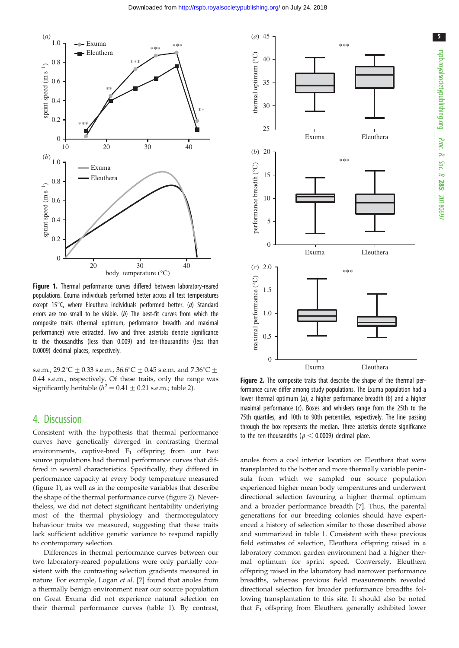5

<span id="page-4-0"></span>

Figure 1. Thermal performance curves differed between laboratory-reared populations. Exuma individuals performed better across all test temperatures except 15 $\degree$ C, where Eleuthera individuals performed better. (a) Standard errors are too small to be visible. (b) The best-fit curves from which the composite traits (thermal optimum, performance breadth and maximal performance) were extracted. Two and three asterisks denote significance to the thousandths (less than 0.009) and ten-thousandths (less than 0.0009) decimal places, respectively.

s.e.m., 29.2°C  $\pm$  0.33 s.e.m., 36.6°C  $\pm$  0.45 s.e.m. and 7.36°C  $\pm$ 0.44 s.e.m., respectively. Of these traits, only the range was significantly heritable ( $h^2 = 0.41 \pm 0.21$  s.e.m.; [table 2](#page-5-0)).

## 4. Discussion

Consistent with the hypothesis that thermal performance curves have genetically diverged in contrasting thermal environments, captive-bred  $F_1$  offspring from our two source populations had thermal performance curves that differed in several characteristics. Specifically, they differed in performance capacity at every body temperature measured (figure 1), as well as in the composite variables that describe the shape of the thermal performance curve (figure 2). Nevertheless, we did not detect significant heritability underlying most of the thermal physiology and thermoregulatory behaviour traits we measured, suggesting that these traits lack sufficient additive genetic variance to respond rapidly to contemporary selection.

Differences in thermal performance curves between our two laboratory-reared populations were only partially consistent with the contrasting selection gradients measured in nature. For example, Logan et al. [\[7\]](#page-6-0) found that anoles from a thermally benign environment near our source population on Great Exuma did not experience natural selection on their thermal performance curves [\(table 1\)](#page-2-0). By contrast,



**Figure 2.** The composite traits that describe the shape of the thermal performance curve differ among study populations. The Exuma population had a lower thermal optimum  $(a)$ , a higher performance breadth  $(b)$  and a higher maximal performance (c). Boxes and whiskers range from the 25th to the 75th quartiles, and 10th to 90th percentiles, respectively. The line passing through the box represents the median. Three asterisks denote significance to the ten-thousandths ( $p < 0.0009$ ) decimal place.

anoles from a cool interior location on Eleuthera that were transplanted to the hotter and more thermally variable peninsula from which we sampled our source population experienced higher mean body temperatures and underwent directional selection favouring a higher thermal optimum and a broader performance breadth [[7](#page-6-0)]. Thus, the parental generations for our breeding colonies should have experienced a history of selection similar to those described above and summarized in [table 1](#page-2-0). Consistent with these previous field estimates of selection, Eleuthera offspring raised in a laboratory common garden environment had a higher thermal optimum for sprint speed. Conversely, Eleuthera offspring raised in the laboratory had narrower performance breadths, whereas previous field measurements revealed directional selection for broader performance breadths following transplantation to this site. It should also be noted that  $F_1$  offspring from Eleuthera generally exhibited lower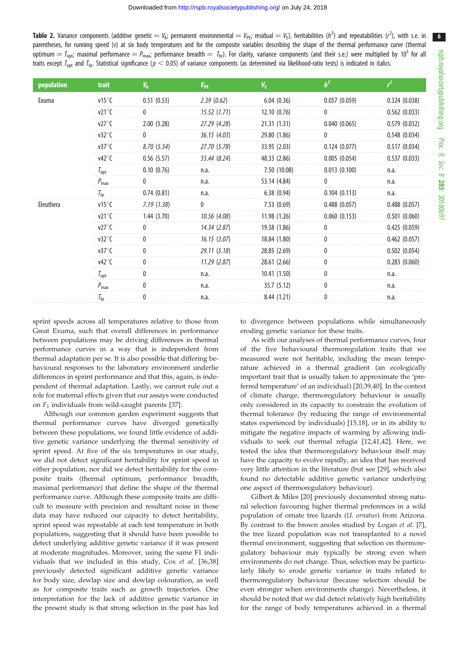<span id="page-5-0"></span>**Table 2.** Variance components (additive genetic  $= V_{\rm A}$ ; permanent environmental  $= V_{\rm PE}$ ; residual  $= V_{\rm E}$ ), heritabilities (h<sup>2</sup>) and repeatabilities (r<sup>2</sup>), with s.e. in parentheses, for running speed (v) at six body temperatures and for the composite variables describing the shape of the thermal performance curve (thermal optimum  $=$  T<sub>opt</sub>; maximal performance  $=$  P<sub>max</sub>; performance breadth  $=$  T<sub>br</sub>). For clarity, variance components (and their s.e.) were multiplied by 10<sup>3</sup> for all traits except  $T_{\text{opt}}$  and  $T_{\text{br}}$ . Statistical significance ( $p < 0.05$ ) of variance components (as determined via likelihood-ratio tests) is indicated in italics.

| population | trait            | $V_{\rm A}$                                                | $V_{\text{PE}}$ | $V_{E}$      | h <sup>2</sup> | $\mathbf{r}^2$ |
|------------|------------------|------------------------------------------------------------|-----------------|--------------|----------------|----------------|
| Exuma      | $v15^{\circ}$ C  | 0.51(0.53)                                                 | 2.39(0.62)      | 6.04(0.36)   | 0.057(0.059)   | 0.324(0.038)   |
|            | $v21^\circ C$    |                                                            | 15.52(1.71)     | 12.10(0.76)  | $\bf{0}$       | 0.562(0.033)   |
|            | $v27^\circ C$    | 2.00(3.28)                                                 | 27.29 (4.28)    | 21.31(1.31)  | 0.040(0.065)   | 0.579(0.032)   |
|            | $v32^\circ C$    |                                                            | 36.15(4.03)     | 29.80 (1.86) |                | 0.548(0.034)   |
|            | $v37^\circ C$    | 8.70(5.54)                                                 | 27.70 (5.78)    | 33.95 (2.03) | 0.124(0.077)   | 0.517(0.034)   |
|            | $v42^{\circ}$ C  | 0.56(5.57)                                                 | 55.44 (8.24)    | 48.33 (2.86) | 0.005(0.054)   | 0.537(0.033)   |
|            | $I_{\text{opt}}$ | 0.10(0.76)                                                 | n.a.            | 7.50 (10.08) | 0.013(0.100)   | n.a.           |
|            | $P_{\text{max}}$ |                                                            | n.a.            | 53.14 (4.84) | 0              | n.a.           |
|            | $T_{\rm br}$     | 0.74(0.81)                                                 | n.a.            | 6.38(0.94)   | 0.104(0.113)   | n.a.           |
| Eleuthera  | $v15^{\circ}$ C  | 7.19(1.38)                                                 | 0               | 7.53(0.69)   | 0.488(0.057)   | 0.488(0.057)   |
|            | $v21^{\circ}C$   | 11.98 (1.26)<br>1.44(3.70)<br>10.56 (4.08)<br>0.060(0.153) |                 | 0.501(0.060) |                |                |
|            | $v27^\circ C$    |                                                            | 14.34 (2.87)    | 19.38 (1.86) |                | 0.425(0.059)   |
|            | $v32^{\circ}$ C  |                                                            | 16.15(3.07)     | 18.84 (1.80) |                | 0.462(0.057)   |
|            | $v37^\circ C$    |                                                            | 29.11 (5.18)    | 28.85 (2.69) |                | 0.502(0.054)   |
|            | $v42^\circ C$    |                                                            | 11.29(2.87)     | 28.61 (2.66) |                | 0.283(0.060)   |
|            | $T_{\rm opt}$    |                                                            | n.a.            | 10.41(1.50)  |                | n.a.           |
|            | $P_{\text{max}}$ |                                                            | n.a.            | 35.7 (5.12)  |                | n.a.           |
|            | $T_{\rm hr}$     |                                                            | n.a.            | 8.44 (1.21)  |                | n.a.           |

sprint speeds across all temperatures relative to those from Great Exuma, such that overall differences in performance between populations may be driving differences in thermal performance curves in a way that is independent from thermal adaptation per se. It is also possible that differing behavioural responses to the laboratory environment underlie differences in sprint performance and that this, again, is independent of thermal adaptation. Lastly, we cannot rule out a role for maternal effects given that our assays were conducted on  $F_1$  individuals from wild-caught parents [\[37](#page-7-0)].

Although our common garden experiment suggests that thermal performance curves have diverged genetically between these populations, we found little evidence of additive genetic variance underlying the thermal sensitivity of sprint speed. At five of the six temperatures in our study, we did not detect significant heritability for sprint speed in either population, nor did we detect heritability for the composite traits (thermal optimum, performance breadth, maximal performance) that define the shape of the thermal performance curve. Although these composite traits are difficult to measure with precision and resultant noise in those data may have reduced our capacity to detect heritability, sprint speed was repeatable at each test temperature in both populations, suggesting that it should have been possible to detect underlying additive genetic variance if it was present at moderate magnitudes. Moreover, using the same F1 individuals that we included in this study, Cox et al. [\[36](#page-7-0),[38\]](#page-7-0) previously detected significant additive genetic variance for body size, dewlap size and dewlap colouration, as well as for composite traits such as growth trajectories. One interpretation for the lack of additive genetic variance in the present study is that strong selection in the past has led

to divergence between populations while simultaneously eroding genetic variance for these traits.

As with our analyses of thermal performance curves, four of the five behavioural thermoregulation traits that we measured were not heritable, including the mean temperature achieved in a thermal gradient (an ecologically important trait that is usually taken to approximate the 'preferred temperature' of an individual) [[20,39,40](#page-7-0)]. In the context of climate change, thermoregulatory behaviour is usually only considered in its capacity to constrain the evolution of thermal tolerance (by reducing the range of environmental states experienced by individuals) [[15,](#page-6-0)[18\]](#page-7-0), or in its ability to mitigate the negative impacts of warming by allowing individuals to seek out thermal refugia [\[12](#page-6-0),[41,42\]](#page-7-0). Here, we tested the idea that thermoregulatory behaviour itself may have the capacity to evolve rapidly, an idea that has received very little attention in the literature (but see [[29\]](#page-7-0), which also found no detectable additive genetic variance underlying one aspect of thermoregulatory behaviour).

Gilbert & Miles [\[20](#page-7-0)] previously documented strong natural selection favouring higher thermal preferences in a wild population of ornate tree lizards (U. ornatus) from Arizona. By contrast to the brown anoles studied by Logan et al. [\[7\]](#page-6-0), the tree lizard population was not transplanted to a novel thermal environment, suggesting that selection on thermoregulatory behaviour may typically be strong even when environments do not change. Thus, selection may be particularly likely to erode genetic variance in traits related to thermoregulatory behaviour (because selection should be even stronger when environments change). Nevertheless, it should be noted that we did detect relatively high heritability for the range of body temperatures achieved in a thermal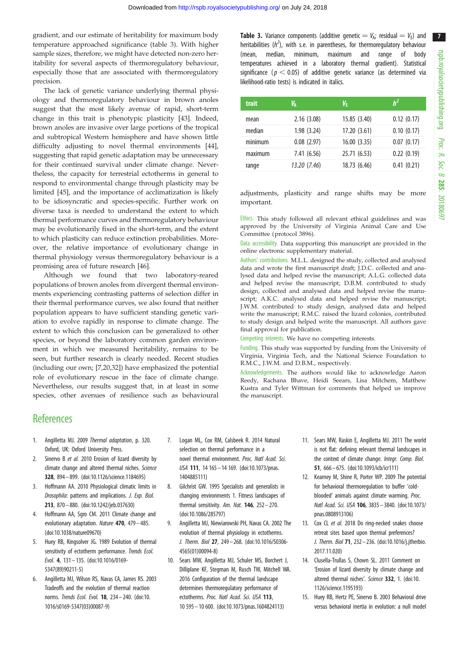<span id="page-6-0"></span>gradient, and our estimate of heritability for maximum body temperature approached significance (table 3). With higher sample sizes, therefore, we might have detected non-zero heritability for several aspects of thermoregulatory behaviour, especially those that are associated with thermoregulatory precision.

The lack of genetic variance underlying thermal physiology and thermoregulatory behaviour in brown anoles suggest that the most likely avenue of rapid, short-term change in this trait is phenotypic plasticity [\[43](#page-7-0)]. Indeed, brown anoles are invasive over large portions of the tropical and subtropical Western hemisphere and have shown little difficulty adjusting to novel thermal environments [\[44](#page-7-0)], suggesting that rapid genetic adaptation may be unnecessary for their continued survival under climate change. Nevertheless, the capacity for terrestrial ectotherms in general to respond to environmental change through plasticity may be limited [\[45](#page-7-0)], and the importance of acclimatization is likely to be idiosyncratic and species-specific. Further work on diverse taxa is needed to understand the extent to which thermal performance curves and thermoregulatory behaviour may be evolutionarily fixed in the short-term, and the extent to which plasticity can reduce extinction probabilities. Moreover, the relative importance of evolutionary change in thermal physiology versus thermoregulatory behaviour is a promising area of future research [\[46](#page-7-0)].

Although we found that two laboratory-reared populations of brown anoles from divergent thermal environments experiencing contrasting patterns of selection differ in their thermal performance curves, we also found that neither population appears to have sufficient standing genetic variation to evolve rapidly in response to climate change. The extent to which this conclusion can be generalized to other species, or beyond the laboratory common garden environment in which we measured heritability, remains to be seen, but further research is clearly needed. Recent studies (including our own; [7,[20,32\]](#page-7-0)) have emphasized the potential role of evolutionary rescue in the face of climate change. Nevertheless, our results suggest that, in at least in some species, other avenues of resilience such as behavioural **Table 3.** Variance components (additive genetic  $= V_A$ ; residual  $= V_F$ ) and heritabilities  $(h^2)$ , with s.e. in parentheses, for thermoregulatory behaviour (mean, median, minimum, maximum and range of body temperatures achieved in a laboratory thermal gradient). Statistical significance ( $p < 0.05$ ) of additive genetic variance (as determined via likelihood-ratio tests) is indicated in italics.

| trait   | V^           | v.           | h <sup>2</sup> |
|---------|--------------|--------------|----------------|
| mean    | 2.16(3.08)   | 15.85 (3.40) | 0.12(0.17)     |
| median  | 1.98(3.24)   | 17.20(3.61)  | 0.10(0.17)     |
| minimum | 0.08(2.97)   | 16.00(3.35)  | 0.07(0.17)     |
| maximum | 7.41 (6.56)  | 25.71 (6.53) | 0.22(0.19)     |
| range   | 13.20 (7.46) | 18.73 (6.46) | 0.41(0.21)     |

adjustments, plasticity and range shifts may be more important.

Ethics. This study followed all relevant ethical guidelines and was approved by the University of Virginia Animal Care and Use Committee (protocol 3896).

Data accessibility. Data supporting this manuscript are provided in the online electronic supplementary material.

Authors' contributions. M.L.L. designed the study, collected and analysed data and wrote the first manuscript draft; J.D.C. collected and analysed data and helped revise the manuscript; A.L.G. collected data and helped revise the manuscript; D.B.M. contributed to study design, collected and analysed data and helped revise the manuscript; A.K.C. analysed data and helped revise the manuscript; J.W.M. contributed to study design, analysed data and helped write the manuscript; R.M.C. raised the lizard colonies, contributed to study design and helped write the manuscript. All authors gave final approval for publication.

Competing interests. We have no competing interests.

Funding. This study was supported by funding from the University of Virginia, Virginia Tech, and the National Science Foundation to R.M.C., J.W.M. and D.B.M., respectively.

Acknowledgements. The authors would like to acknowledge Aaron Reedy, Rachana Bhave, Heidi Seears, Lisa Mitchem, Matthew Kustra and Tyler Wittman for comments that helped us improve the manuscript.

## **References**

- 1. Angilletta MJ. 2009 Thermal adaptation, p. 320. Oxford, UK: Oxford University Press.
- 2. Sinervo B et al. 2010 Erosion of lizard diversity by climate change and altered thermal niches. Science 328, 894– 899. [\(doi:10.1126/science.1184695\)](http://dx.doi.org/10.1126/science.1184695)
- 3. Hoffmann AA. 2010 Physiological climatic limits in Drosophila: patterns and implications. J. Exp. Biol. 213, 870– 880. [\(doi:10.1242/jeb.037630](http://dx.doi.org/10.1242/jeb.037630))
- 4. Hoffmann AA, Sgro CM. 2011 Climate change and evolutionary adaptation. Nature 470, 479 – 485. [\(doi:10.1038/nature09670](http://dx.doi.org/10.1038/nature09670))
- 5. Huey RB, Kingsolver JG. 1989 Evolution of thermal sensitivity of ectotherm performance. Trends Ecol. Evol. 4, 131 – 135. [\(doi:10.1016/0169-](http://dx.doi.org/10.1016/0169-5347(89)90211-5) [5347\(89\)90211-5\)](http://dx.doi.org/10.1016/0169-5347(89)90211-5)
- 6. Angilletta MJ, Wilson RS, Navas CA, James RS. 2003 Tradeoffs and the evolution of thermal reaction norms. Trends Ecol. Evol. 18, 234– 240. [\(doi:10.](http://dx.doi.org/10.1016/s0169-5347(03)00087-9) [1016/s0169-5347\(03\)00087-9\)](http://dx.doi.org/10.1016/s0169-5347(03)00087-9)
- 7. Logan ML, Cox RM, Calsbeek R. 2014 Natural selection on thermal performance in a novel thermal environment. Proc. Natl Acad. Sci. USA 111, 14 165 – 14 169. [\(doi:10.1073/pnas.](http://dx.doi.org/10.1073/pnas.1404885111) [1404885111\)](http://dx.doi.org/10.1073/pnas.1404885111)
- 8. Gilchrist GW. 1995 Specialists and generalists in changing environments 1. Fitness landscapes of thermal sensitivity. Am. Nat.  $146$ ,  $252 - 270$ . [\(doi:10.1086/285797\)](http://dx.doi.org/10.1086/285797)
- 9. Angilletta MJ, Niewiarowski PH, Navas CA. 2002 The evolution of thermal physiology in ectotherms. J. Therm. Biol 27, 249– 268. [\(doi:10.1016/S0306-](http://dx.doi.org/10.1016/S0306-4565(01)00094-8) [4565\(01\)00094-8](http://dx.doi.org/10.1016/S0306-4565(01)00094-8))
- 10. Sears MW, Angilletta MJ, Schuler MS, Borchert J, Dilliplane KF, Stegman M, Rusch TW, Mitchell WA. 2016 Configuration of the thermal landscape determines thermoregulatory performance of ectotherms. Proc. Natl Acad. Sci. USA 113, 10 595– 10 600. [\(doi:10.1073/pnas.1604824113](http://dx.doi.org/10.1073/pnas.1604824113))
- 11. Sears MW, Raskin E, Angilletta MJ. 2011 The world is not flat: defining relevant thermal landscapes in the context of climate change. Integr. Comp. Biol. 51, 666 – 675. [\(doi:10.1093/icb/icr111\)](http://dx.doi.org/10.1093/icb/icr111)
- 12. Kearney M, Shine R, Porter WP. 2009 The potential for behavioral thermoregulation to buffer 'coldblooded' animals against climate warming. Proc. Natl Acad. Sci. USA 106, 3835 – 3840. [\(doi:10.1073/](http://dx.doi.org/10.1073/pnas.0808913106) [pnas.0808913106\)](http://dx.doi.org/10.1073/pnas.0808913106)
- 13. Cox CL et al. 2018 Do ring-necked snakes choose retreat sites based upon thermal preferences? J. Therm. Biol 71, 232– 236. ([doi:10.1016/j.jtherbio.](http://dx.doi.org/10.1016/j.jtherbio.2017.11.020) [2017.11.020](http://dx.doi.org/10.1016/j.jtherbio.2017.11.020))
- 14. Clusella-Trullas S, Chown SL. 2011 Comment on 'Erosion of lizard diversity by climate change and altered thermal niches'. Science 332, 1. ([doi:10.](http://dx.doi.org/10.1126/science.1195193) [1126/science.1195193](http://dx.doi.org/10.1126/science.1195193))
- 15. Huey RB, Hertz PE, Sinervo B. 2003 Behavioral drive versus behavioral inertia in evolution: a null model